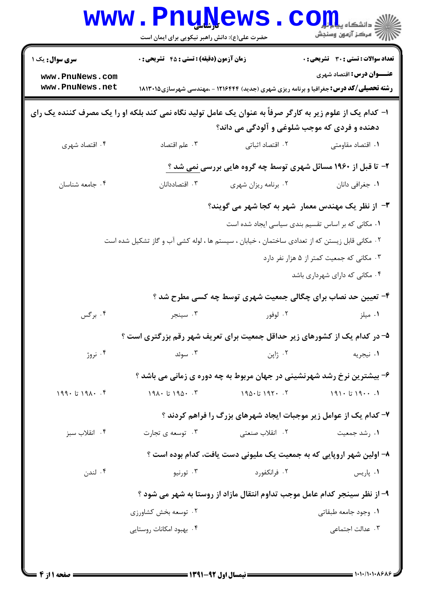|                                                                                                                                                           | www.PnuNews                                                                                    |                      | کے دانشکاہ پیا ہ <mark>ے۔</mark><br>ا∜ مرکز آزمون وسنجش                                                                           |  |  |  |
|-----------------------------------------------------------------------------------------------------------------------------------------------------------|------------------------------------------------------------------------------------------------|----------------------|-----------------------------------------------------------------------------------------------------------------------------------|--|--|--|
|                                                                                                                                                           | حضرت علی(ع): دانش راهبر نیکویی برای ایمان است                                                  |                      |                                                                                                                                   |  |  |  |
| <b>سری سوال :</b> یک ۱                                                                                                                                    | زمان آزمون (دقیقه) : تستی : 45 آتشریحی : 0                                                     |                      | <b>تعداد سوالات : تستی : 30 ٪ تشریحی : 0</b>                                                                                      |  |  |  |
| www.PnuNews.com<br>www.PnuNews.net                                                                                                                        |                                                                                                |                      | <b>عنـــوان درس:</b> اقتصاد شهری<br><b>رشته تحصیلی/کد درس:</b> جغرافیا و برنامه ریزی شهری (جدید) ۱۲۱۶۴۴۴ - ،مهندسی شهرسازی۱۸۱۳۰۱۵ |  |  |  |
| ا- کدام یک از علوم زیر به کارگر صرفاً به عنوان یک عامل تولید نگاه نمی کند بلکه او را یک مصرف کننده یک رای<br>دهنده و فردی که موجب شلوغی و آلودگی می داند؟ |                                                                                                |                      |                                                                                                                                   |  |  |  |
| ۰۴ اقتصاد شهری                                                                                                                                            | ۰۳ علم اقتصاد                                                                                  | ۰۲ اقتصاد اثباتی     | ۰۱ اقتصاد مقاومتی                                                                                                                 |  |  |  |
|                                                                                                                                                           |                                                                                                |                      | ۲- تا قبل از ۱۹۶۰ مسائل شهری توسط چه گروه هایی بررسی نمی شد ؟                                                                     |  |  |  |
| ۰۴ جامعه شناسان                                                                                                                                           | ۰۳ اقتصاددانان                                                                                 | ۰۲ برنامه ریزان شهری | ۰۱ جغرافي دانان                                                                                                                   |  |  |  |
|                                                                                                                                                           |                                                                                                |                      | ۳- از نظر یک مهندس معمار شهر به کجا شهر می گویند؟                                                                                 |  |  |  |
|                                                                                                                                                           |                                                                                                |                      | ٠١ مكانى كه بر اساس تقسيم بندى سياسى ايجاد شده است                                                                                |  |  |  |
|                                                                                                                                                           | ۰۲ مکانی قابل زیستن که از تعدادی ساختمان ، خیابان ، سیستم ها ، لوله کشی آب و گاز تشکیل شده است |                      |                                                                                                                                   |  |  |  |
|                                                                                                                                                           |                                                                                                |                      | ۰۳ مکانی که جمعیت کمتر از ۵ هزار نفر دارد                                                                                         |  |  |  |
|                                                                                                                                                           |                                                                                                |                      | ۰۴ مکانی که دارای شهرداری باشد                                                                                                    |  |  |  |
|                                                                                                                                                           |                                                                                                |                      | ۴- تعیین حد نصاب برای چگالی جمعیت شهری توسط چه کسی مطرح شد ؟                                                                      |  |  |  |
| ۰۴ برگس                                                                                                                                                   | ۰۳ سينجر                                                                                       | ۰۲ لوفور             | ۰۱ میلز                                                                                                                           |  |  |  |
|                                                                                                                                                           |                                                                                                |                      | ۵- در کدام یک از کشورهای زیر حداقل جمعیت برای تعریف شهر رقم بزرگتری است ؟                                                         |  |  |  |
| ۰۴ نروژ                                                                                                                                                   | ۰۳ سوئد                                                                                        | ۰۲ ژاپن              | ۰۱ نیجریه                                                                                                                         |  |  |  |
|                                                                                                                                                           |                                                                                                |                      | ۶- بیشترین نرخ رشد شهرنشینی در جهان مربوط به چه دوره ی زمانی می باشد ؟                                                            |  |  |  |
| $199. i 191.$ $f$                                                                                                                                         | ۰۳ ۱۹۵۰ تا ۱۹۸۰                                                                                | ۰۲ ۱۹۲۰ تا۱۹۵۰       | $191 \cdot 19 \cdot \cdot \cdot$                                                                                                  |  |  |  |
|                                                                                                                                                           |                                                                                                |                      | ۷- کدام یک از عوامل زیر موجبات ایجاد شهرهای بزرگ را فراهم کردند ؟                                                                 |  |  |  |
| ۰۴ انقلاب سبز                                                                                                                                             | ۰۳ توسعه ی تجارت                                                                               | ۰۲ انقلاب صنعتی      | ۰۱ رشد جمعیت                                                                                                                      |  |  |  |
|                                                                                                                                                           |                                                                                                |                      | ۸– اولین شهر اروپایی که به جمعیت یک ملیونی دست یافت، کدام بوده است ؟                                                              |  |  |  |
| ۰۴ لندن                                                                                                                                                   | تورنيو $\cdot^{\mathsf{r}}$                                                                    | ۰۲ فرانکفورد         | ۰۱ پاریس                                                                                                                          |  |  |  |
|                                                                                                                                                           | ۹- از نظر سینجر کدام عامل موجب تداوم انتقال مازاد از روستا به شهر می شود ؟                     |                      |                                                                                                                                   |  |  |  |
|                                                                                                                                                           | ۰۲ توسعه بخش کشاورزی                                                                           |                      | ٠١. وجود جامعه طبقاتي                                                                                                             |  |  |  |
|                                                                                                                                                           | ۰۴ بهبود امكانات روستايي                                                                       |                      | ۰۳ عدالت اجتماعی                                                                                                                  |  |  |  |
|                                                                                                                                                           |                                                                                                |                      |                                                                                                                                   |  |  |  |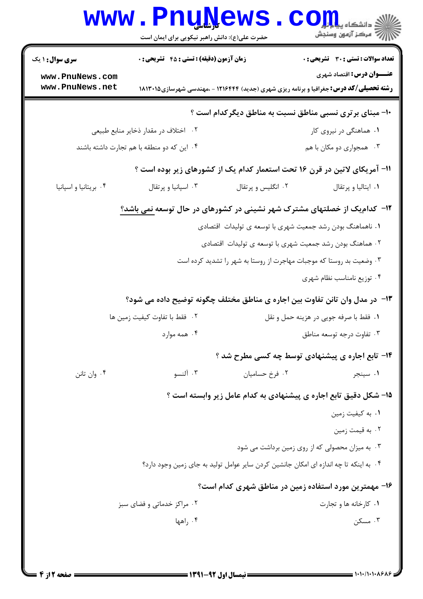| الاد دانشڪاه پيد <mark>م ٿو.</mark><br>ا∜ مرڪز آزمون وسنجش                                                                        |                    | <b>www.PnuNews</b><br>حضرت علی(ع): دانش راهبر نیکویی برای ایمان است |                                    |
|-----------------------------------------------------------------------------------------------------------------------------------|--------------------|---------------------------------------------------------------------|------------------------------------|
| <b>تعداد سوالات : تستی : 30 ٪ تشریحی : 0</b>                                                                                      |                    | زمان آزمون (دقیقه) : تستی : 45 آتشریحی : 0                          | <b>سری سوال : ۱ یک</b>             |
| <b>عنـــوان درس:</b> اقتصاد شهری<br><b>رشته تحصیلی/کد درس:</b> جغرافیا و برنامه ریزی شهری (جدید) ۱۲۱۶۴۴۴ - ،مهندسی شهرسازی۱۸۱۳۰۱۵ |                    |                                                                     | www.PnuNews.com<br>www.PnuNews.net |
| ∙۱- مبنای برتری نسبی مناطق نسبت به مناطق دیگرکدام است ؟                                                                           |                    |                                                                     |                                    |
| ۰۱ هماهنگی در نیروی کار                                                                                                           |                    | ۰۲ اختلاف در مقدار ذخایر منابع طبیعی                                |                                    |
| ۰۳ همجواری دو مکان با هم                                                                                                          |                    | ۰۴ این که دو منطقه با هم تجارت داشته باشند                          |                                    |
| 11- آمریکای لاتین در قرن ۱۶ تحت استعمار کدام یک از کشورهای زیر بوده است ؟                                                         |                    |                                                                     |                                    |
| ٠١. ايتاليا و پرتقال                                                                                                              | ۰۲ انگلیس و پرتقال | ۰۳ اسپانیا و پرتقال                                                 | ۰۴ بریتانیا و اسپانیا              |
| ۱۲- کدام یک از خصلتهای مشترک شهر نشینی در کشورهای در حال توسعه <u>نمی باشد؟</u>                                                   |                    |                                                                     |                                    |
| ۰۱ ناهماهنگ بودن رشد جمعیت شهری با توسعه ی تولیدات اقتصادی                                                                        |                    |                                                                     |                                    |
| ۰۲ هماهنگ بودن رشد جمعیت شهری با توسعه ی تولیدات اقتصادی                                                                          |                    |                                                                     |                                    |
| ۰۳ وضعیت بد روستا که موجبات مهاجرت از روستا به شهر را تشدید کرده است                                                              |                    |                                                                     |                                    |
| ۰۴ توزیع نامناسب نظام شهری                                                                                                        |                    |                                                                     |                                    |
| ۱۳- در مدل وان تانن تفاوت بین اجاره ی مناطق مختلف چگونه توضیح داده می شود؟                                                        |                    |                                                                     |                                    |
| ٠١ فقط با صرفه جويي در هزينه حمل و نقل                                                                                            |                    | ٠٢ فقط با تفاوت كيفيت زمين ها                                       |                                    |
| ۰۳ تفاوت درجه توسعه مناطق                                                                                                         |                    | ۰۴ همه موارد                                                        |                                    |
| ۱۴- تابع اجاره ی پیشنهادی توسط چه کسی مطرح شد ؟                                                                                   |                    |                                                                     |                                    |
| ۰۱ سینجر                                                                                                                          | ۰۲ فرخ حسامیان     | ۰۳ آلنسو                                                            | ۰۴ وان تانن                        |
| ۱۵– شکل دقیق تابع اجاره ی پیشنهادی به کدام عامل زیر وابسته است ؟                                                                  |                    |                                                                     |                                    |
| ٠١. به كيفيت زمين                                                                                                                 |                    |                                                                     |                                    |
| ۰۲ به قیمت زمین                                                                                                                   |                    |                                                                     |                                    |
| ۰۳ به میزان محصولی که از روی زمین برداشت می شود                                                                                   |                    |                                                                     |                                    |
| ۰۴ به اینکه تا چه اندازه ای امکان جانشین کردن سایر عوامل تولید به جای زمین وجود دارد؟                                             |                    |                                                                     |                                    |
| ۱۶- مهمترین مورد استفاده زمین در مناطق شهری کدام است؟                                                                             |                    |                                                                     |                                    |
| ۰۱ کارخانه ها و تجارت                                                                                                             |                    | ۰۲ مراکز خدماتی و فضای سبز                                          |                                    |
| ۰۳ مسکن                                                                                                                           |                    | ۰۴ راهها                                                            |                                    |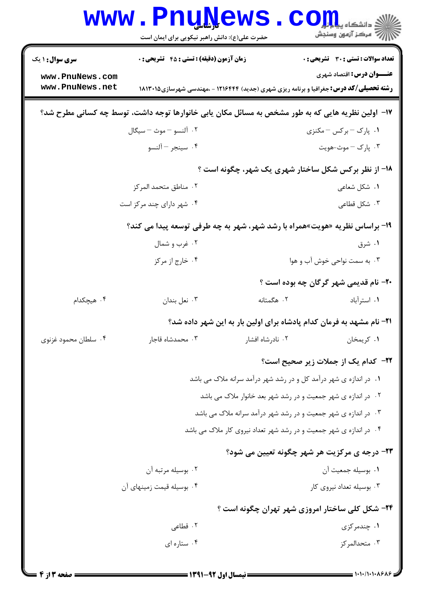|                                                                                                                                                                                                    | <b>www.PnuNews</b><br>حضرت علی(ع): دانش راهبر نیکویی برای ایمان است        |                                                                    | د دانشڪاه پ <b>يا ہ<mark>و</mark>ل</b><br>چ<br>ر ج<br>پر کار میں اسلام کی مسلمان |  |  |  |
|----------------------------------------------------------------------------------------------------------------------------------------------------------------------------------------------------|----------------------------------------------------------------------------|--------------------------------------------------------------------|----------------------------------------------------------------------------------|--|--|--|
| <b>سری سوال : ۱ یک</b>                                                                                                                                                                             | <b>زمان آزمون (دقیقه) : تستی : 45 قشریحی : 0</b>                           |                                                                    | <b>تعداد سوالات : تستی : 30 ٪ تشریحی : 0</b>                                     |  |  |  |
| www.PnuNews.com<br>www.PnuNews.net                                                                                                                                                                 |                                                                            |                                                                    | <b>عنـــوان درس:</b> اقتصاد شهری                                                 |  |  |  |
| <b>رشته تحصیلی/کد درس:</b> جغرافیا و برنامه ریزی شهری (جدید) ۱۲۱۶۴۴۴ - ،مهندسی شهرسازی۱۸۱۳۰۱۵<br>۱۷– اولین نظریه هایی که به طور مشخص به مسائل مکان یابی خانوارها توجه داشت، توسط چه کسانی مطرح شد؟ |                                                                            |                                                                    |                                                                                  |  |  |  |
|                                                                                                                                                                                                    | ٢. آلنسو – موث – سيگال                                                     |                                                                    | ۰۱. پارک – برکس – مکنزی                                                          |  |  |  |
|                                                                                                                                                                                                    | ۰۴ سينجر – آلنسو                                                           |                                                                    | ۰۳ پارک – موث-هويت                                                               |  |  |  |
|                                                                                                                                                                                                    |                                                                            |                                                                    | ۱۸- از نظر برکس شکل ساختار شهری یک شهر، چگونه است ؟                              |  |  |  |
|                                                                                                                                                                                                    | ٠٢ مناطق متحمد المركز                                                      |                                                                    | ۰۱ شکل شعاعی                                                                     |  |  |  |
|                                                                                                                                                                                                    | ۰۴ شهر دارای چند مرکز است                                                  |                                                                    | ۰۳ شکل قطاعی                                                                     |  |  |  |
|                                                                                                                                                                                                    | ۱۹- براساس نظریه «هویت»همراه با رشد شهر، شهر به چه طرفی توسعه پیدا می کند؟ |                                                                    |                                                                                  |  |  |  |
|                                                                                                                                                                                                    | ۰۲ غرب و شمال                                                              |                                                                    | ۰۱ شرق                                                                           |  |  |  |
|                                                                                                                                                                                                    | ۰۴ خارج از مرکز                                                            |                                                                    | ۰۳ به سمت نواحی خوش آب و هوا                                                     |  |  |  |
|                                                                                                                                                                                                    |                                                                            |                                                                    | <b>۲۰</b> - نام قدیمی شهر گرگان چه بوده است ؟                                    |  |  |  |
| ۰۴ هیچکدام                                                                                                                                                                                         | ۰۳ نعل بندان                                                               | ٢. هگمتانه                                                         | ۰۱ استرآباد                                                                      |  |  |  |
|                                                                                                                                                                                                    |                                                                            |                                                                    | <b>۲۱</b> - نام مشهد به فرمان کدام پادشاه برای اولین بار به این شهر داده شد؟     |  |  |  |
| ۰۴ سلطان محمود غزنوي                                                                                                                                                                               | ۰۳ محمدشاه قاجار                                                           | ۰۲ نادرشاه افشار                                                   | ۰۱ کریمخان                                                                       |  |  |  |
|                                                                                                                                                                                                    |                                                                            |                                                                    | <b>۲۲</b> - کدام یک از جملات زیر صحیح است؟                                       |  |  |  |
|                                                                                                                                                                                                    |                                                                            | ۰۱ در اندازه ی شهر درآمد کل و در رشد شهر درآمد سرانه ملاک می باشد  |                                                                                  |  |  |  |
|                                                                                                                                                                                                    |                                                                            | ۰۲ در اندازه ی شهر جمعیت و در رشد شهر بعد خانوار ملاک می باشد      |                                                                                  |  |  |  |
|                                                                                                                                                                                                    |                                                                            | ۰۳ در اندازه ی شهر جمعیت و در رشد شهر درآمد سرانه ملاک می باشد     |                                                                                  |  |  |  |
|                                                                                                                                                                                                    |                                                                            | ۰۴ در اندازه ی شهر جمعیت و در رشد شهر تعداد نیروی کار ملاک می باشد |                                                                                  |  |  |  |
|                                                                                                                                                                                                    |                                                                            |                                                                    | <b>۲۳- درجه ی مرکزیت هر شهر چگونه تعیین می شود؟</b>                              |  |  |  |
|                                                                                                                                                                                                    | ۰۲ بوسیله مرتبه آن                                                         |                                                                    | ٠١. بوسيله جمعيت آن                                                              |  |  |  |
|                                                                                                                                                                                                    | ۰۴ بوسیله قیمت زمینهای آن                                                  |                                                                    | ۰۳ بوسیله تعداد نیروی کار                                                        |  |  |  |
|                                                                                                                                                                                                    |                                                                            |                                                                    | ۲۴- شکل کلی ساختار امروزی شهر تهران چگونه است ؟                                  |  |  |  |
|                                                                                                                                                                                                    | ۰۲ قطاعی                                                                   |                                                                    | ۰۱ چندمرکزی                                                                      |  |  |  |
|                                                                                                                                                                                                    | ۰۴ ستاره ای                                                                |                                                                    | ۰۳ متحدالمرکز                                                                    |  |  |  |